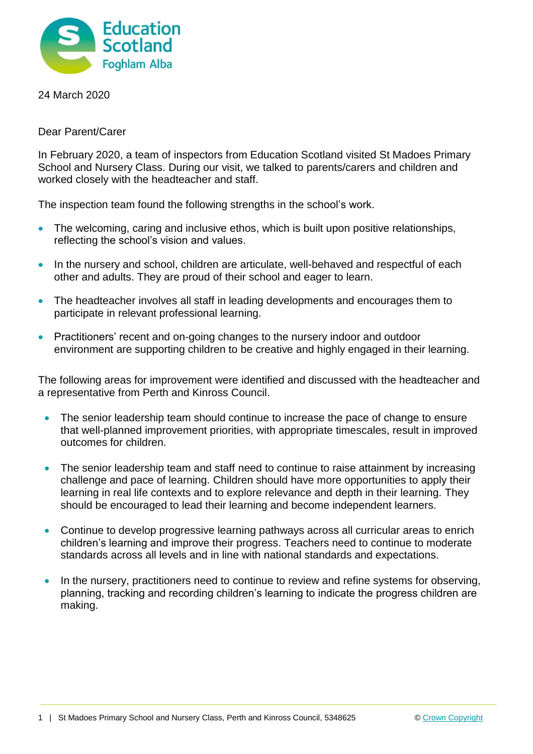

24 March 2020

Dear Parent/Carer

In February 2020, a team of inspectors from Education Scotland visited St Madoes Primary School and Nursery Class. During our visit, we talked to parents/carers and children and worked closely with the headteacher and staff.

The inspection team found the following strengths in the school's work.

- The welcoming, caring and inclusive ethos, which is built upon positive relationships, reflecting the school's vision and values.
- In the nursery and school, children are articulate, well-behaved and respectful of each other and adults. They are proud of their school and eager to learn.
- The headteacher involves all staff in leading developments and encourages them to participate in relevant professional learning.
- Practitioners' recent and on-going changes to the nursery indoor and outdoor environment are supporting children to be creative and highly engaged in their learning.

The following areas for improvement were identified and discussed with the headteacher and a representative from Perth and Kinross Council.

- The senior leadership team should continue to increase the pace of change to ensure that well-planned improvement priorities, with appropriate timescales, result in improved outcomes for children.
- The senior leadership team and staff need to continue to raise attainment by increasing challenge and pace of learning. Children should have more opportunities to apply their learning in real life contexts and to explore relevance and depth in their learning. They should be encouraged to lead their learning and become independent learners.
- Continue to develop progressive learning pathways across all curricular areas to enrich children's learning and improve their progress. Teachers need to continue to moderate standards across all levels and in line with national standards and expectations.
- In the nursery, practitioners need to continue to review and refine systems for observing, planning, tracking and recording children's learning to indicate the progress children are making.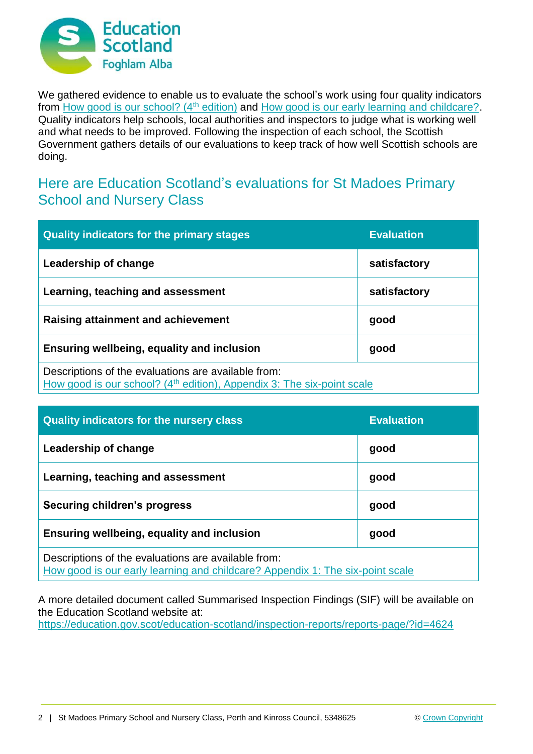

We gathered evidence to enable us to evaluate the school's work using four quality indicators from [How good is our school? \(4](https://education.gov.scot/improvement/Documents/Frameworks_SelfEvaluation/FRWK2_NIHeditHGIOS/FRWK2_HGIOS4.pdf)<sup>th</sup> edition) and [How good is our early learning and childcare?.](https://education.gov.scot/improvement/Documents/Frameworks_SelfEvaluation/FRWK1_NIHeditSelf-evaluationHGIELC/HGIOELC020316Revised.pdf) Quality indicators help schools, local authorities and inspectors to judge what is working well and what needs to be improved. Following the inspection of each school, the Scottish Government gathers details of our evaluations to keep track of how well Scottish schools are doing.

## Here are Education Scotland's evaluations for St Madoes Primary School and Nursery Class

| <b>Quality indicators for the primary stages</b>                                                                                          | <b>Evaluation</b> |
|-------------------------------------------------------------------------------------------------------------------------------------------|-------------------|
| Leadership of change                                                                                                                      | satisfactory      |
| Learning, teaching and assessment                                                                                                         | satisfactory      |
| Raising attainment and achievement                                                                                                        | good              |
| Ensuring wellbeing, equality and inclusion                                                                                                | good              |
| Descriptions of the evaluations are available from:<br>How good is our school? (4 <sup>th</sup> edition), Appendix 3: The six-point scale |                   |

| <b>Quality indicators for the nursery class</b>                                                                                      | <b>Evaluation</b> |
|--------------------------------------------------------------------------------------------------------------------------------------|-------------------|
| Leadership of change                                                                                                                 | good              |
| Learning, teaching and assessment                                                                                                    | good              |
| <b>Securing children's progress</b>                                                                                                  | good              |
| Ensuring wellbeing, equality and inclusion                                                                                           | good              |
| Descriptions of the evaluations are available from:<br>How good is our early learning and childcare? Appendix 1: The six-point scale |                   |

A more detailed document called Summarised Inspection Findings (SIF) will be available on the Education Scotland website at:

<https://education.gov.scot/education-scotland/inspection-reports/reports-page/?id=4624>